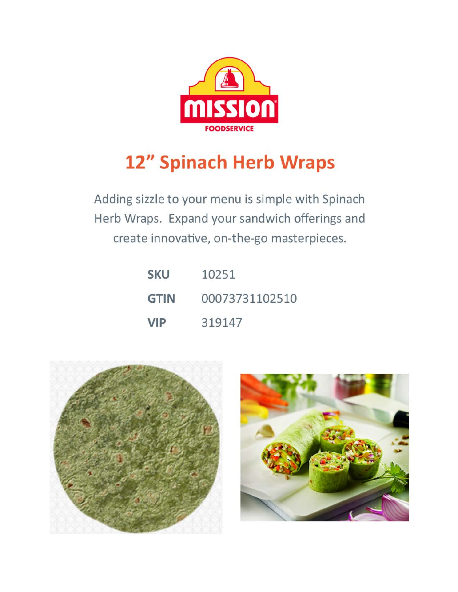

# 12" Spinach Herb Wraps

Adding sizzle to your menu is simple with Spinach Herb Wraps. Expand your sandwich offerings and create innovative, on-the-go masterpieces.

| <b>SKU</b>  | 10251          |
|-------------|----------------|
| <b>GTIN</b> | 00073731102510 |
| <b>VIP</b>  | 319147         |